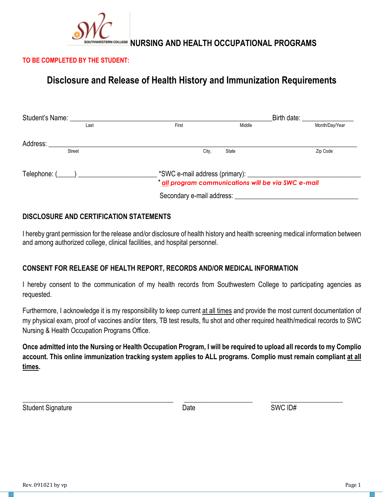

## **TO BE COMPLETED BY THE STUDENT:**

# **Disclosure and Release of Health History and Immunization Requirements**

| Student's Name:                                                                                                                                                                                                                       |                           |                                                     | Birth date: <b>Example 20</b> |
|---------------------------------------------------------------------------------------------------------------------------------------------------------------------------------------------------------------------------------------|---------------------------|-----------------------------------------------------|-------------------------------|
| Last                                                                                                                                                                                                                                  | First                     | Middle                                              | Month/Day/Year                |
| Address:                                                                                                                                                                                                                              |                           |                                                     |                               |
| Street                                                                                                                                                                                                                                | City.                     | State                                               | Zip Code                      |
| $Telephone: ($ \\omega_{\sigma_{\sigma_{\sigma_{\sigma_{\sigma_{\sigma_{\sigma_{\sigma_{\sigma_{\sigma_{\sigma_{\sigma_{\sigma_{\sigma_{\sigma_{\sigma_{\sigma_{\sigma_{\sigma_{\sigma_{\sigma_{\sigma_{\sigma_{\sigma_{\sigma_{\sigm |                           | * all program communications will be via SWC e-mail |                               |
|                                                                                                                                                                                                                                       | Secondary e-mail address: |                                                     |                               |

## **DISCLOSURE AND CERTIFICATION STATEMENTS**

I hereby grant permission for the release and/or disclosure of health history and health screening medical information between and among authorized college, clinical facilities, and hospital personnel.

## **CONSENT FOR RELEASE OF HEALTH REPORT, RECORDS AND/OR MEDICAL INFORMATION**

I hereby consent to the communication of my health records from Southwestern College to participating agencies as requested.

Furthermore, I acknowledge it is my responsibility to keep current at all times and provide the most current documentation of my physical exam, proof of vaccines and/or titers, TB test results, flu shot and other required health/medical records to SWC Nursing & Health Occupation Programs Office.

**Once admitted into the Nursing or Health Occupation Program, I will be required to upload all records to my Complio account. This online immunization tracking system applies to ALL programs. Complio must remain compliant at all times.**

Student Signature Superior Contract Contract Date Contract Contract Contract Contract Contract Contract Contract Contract Contract Contract Contract Contract Contract Contract Contract Contract Contract Contract Contract C

\_\_\_\_\_\_\_\_\_\_\_\_\_\_\_\_\_\_\_\_\_\_\_\_\_\_\_\_\_\_\_\_\_\_\_\_\_\_\_\_\_\_\_\_ \_\_\_\_\_\_\_\_\_\_\_\_\_\_\_\_\_\_\_\_ \_\_\_\_\_\_\_\_\_\_\_\_\_\_\_\_\_\_\_\_\_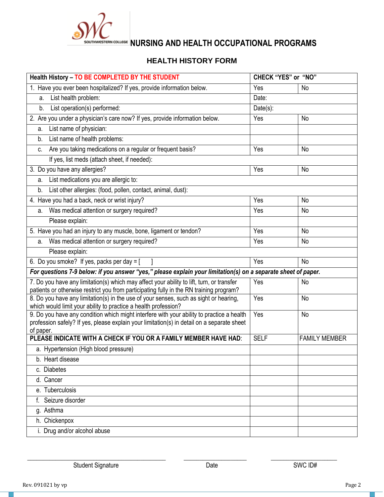

# **HEALTH HISTORY FORM**

| Health History - TO BE COMPLETED BY THE STUDENT                                                                                                                                  | <b>CHECK "YES" or "NO"</b> |                      |  |
|----------------------------------------------------------------------------------------------------------------------------------------------------------------------------------|----------------------------|----------------------|--|
| 1. Have you ever been hospitalized? If yes, provide information below.                                                                                                           | Yes                        | No                   |  |
| List health problem:<br>a.                                                                                                                                                       | Date:                      |                      |  |
| List operation(s) performed:<br>b.                                                                                                                                               | $Date(s)$ :                |                      |  |
| 2. Are you under a physician's care now? If yes, provide information below.                                                                                                      | Yes                        | No                   |  |
| List name of physician:<br>a.                                                                                                                                                    |                            |                      |  |
| List name of health problems:<br>b.                                                                                                                                              |                            |                      |  |
| Are you taking medications on a regular or frequent basis?<br>C.                                                                                                                 | Yes                        | No                   |  |
| If yes, list meds (attach sheet, if needed):                                                                                                                                     |                            |                      |  |
| 3. Do you have any allergies?                                                                                                                                                    | Yes                        | No                   |  |
| List medications you are allergic to:<br>a.                                                                                                                                      |                            |                      |  |
| List other allergies: (food, pollen, contact, animal, dust):<br>b <sub>1</sub>                                                                                                   |                            |                      |  |
| 4. Have you had a back, neck or wrist injury?                                                                                                                                    | Yes                        | No                   |  |
| Was medical attention or surgery required?<br>a.                                                                                                                                 | Yes                        | No                   |  |
| Please explain:                                                                                                                                                                  |                            |                      |  |
| 5. Have you had an injury to any muscle, bone, ligament or tendon?                                                                                                               | Yes                        | No                   |  |
| Was medical attention or surgery required?<br>a.                                                                                                                                 | Yes                        | No                   |  |
| Please explain:                                                                                                                                                                  |                            |                      |  |
| 6. Do you smoke? If yes, packs per day = $[$                                                                                                                                     | Yes                        | No                   |  |
| For questions 7-9 below: if you answer "yes," please explain your limitation(s) on a separate sheet of paper.                                                                    |                            |                      |  |
| 7. Do you have any limitation(s) which may affect your ability to lift, turn, or transfer                                                                                        | Yes                        | No                   |  |
| patients or otherwise restrict you from participating fully in the RN training program?<br>8. Do you have any limitation(s) in the use of your senses, such as sight or hearing, | Yes                        | No                   |  |
| which would limit your ability to practice a health profession?                                                                                                                  |                            |                      |  |
| 9. Do you have any condition which might interfere with your ability to practice a health                                                                                        | Yes                        | No                   |  |
| profession safely? If yes, please explain your limitation(s) in detail on a separate sheet<br>of paper.                                                                          |                            |                      |  |
| PLEASE INDICATE WITH A CHECK IF YOU OR A FAMILY MEMBER HAVE HAD:                                                                                                                 | <b>SELF</b>                | <b>FAMILY MEMBER</b> |  |
| a. Hypertension (High blood pressure)                                                                                                                                            |                            |                      |  |
| b. Heart disease                                                                                                                                                                 |                            |                      |  |
| c. Diabetes                                                                                                                                                                      |                            |                      |  |
| d. Cancer                                                                                                                                                                        |                            |                      |  |
| e. Tuberculosis                                                                                                                                                                  |                            |                      |  |
| Seizure disorder                                                                                                                                                                 |                            |                      |  |
| g. Asthma                                                                                                                                                                        |                            |                      |  |
| h. Chickenpox                                                                                                                                                                    |                            |                      |  |
| i. Drug and/or alcohol abuse                                                                                                                                                     |                            |                      |  |

 $\frac{1}{2}$  ,  $\frac{1}{2}$  ,  $\frac{1}{2}$  ,  $\frac{1}{2}$  ,  $\frac{1}{2}$  ,  $\frac{1}{2}$  ,  $\frac{1}{2}$  ,  $\frac{1}{2}$  ,  $\frac{1}{2}$  ,  $\frac{1}{2}$  ,  $\frac{1}{2}$  ,  $\frac{1}{2}$  ,  $\frac{1}{2}$  ,  $\frac{1}{2}$  ,  $\frac{1}{2}$  ,  $\frac{1}{2}$  ,  $\frac{1}{2}$  ,  $\frac{1}{2}$  ,  $\frac{1$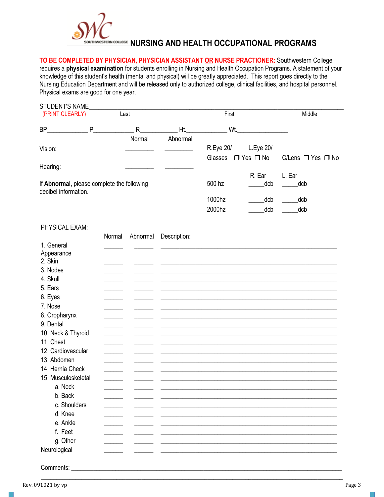

**TO BE COMPLETED BY PHYSICIAN, PHYSICIAN ASSISTANT OR NURSE PRACTIONER:** Southwestern College requires a **physical examination** for students enrolling in Nursing and Health Occupation Programs. A statement of your knowledge of this student's health (mental and physical) will be greatly appreciated. This report goes directly to the Nursing Education Department and will be released only to authorized college, clinical facilities, and hospital personnel. Physical exams are good for one year.

| STUDENT'S NAME<br>(PRINT CLEARLY)<br>Last                          |        |             |              |                      |                                   | Middle                      |  |  |
|--------------------------------------------------------------------|--------|-------------|--------------|----------------------|-----------------------------------|-----------------------------|--|--|
| BP                                                                 | P      | $\mathsf R$ | Wt.<br>Ht.   |                      | <u>and the state</u>              |                             |  |  |
|                                                                    |        | Normal      | Abnormal     |                      |                                   |                             |  |  |
| Vision:                                                            |        |             |              | R.Eye 20/<br>Glasses | L.Eye 20/<br>$\Box$ Yes $\Box$ No | C/Lens $\Box$ Yes $\Box$ No |  |  |
| Hearing:                                                           |        |             |              |                      |                                   |                             |  |  |
| If Abnormal, please complete the following<br>decibel information. |        |             |              | 500 hz               | R. Ear<br>dcb                     | L. Ear<br>dcb               |  |  |
|                                                                    |        |             |              | 1000hz<br>2000hz     | _dcb<br>dcb                       | dcb<br>dcb                  |  |  |
| PHYSICAL EXAM:                                                     |        |             |              |                      |                                   |                             |  |  |
|                                                                    | Normal | Abnormal    | Description: |                      |                                   |                             |  |  |
| 1. General                                                         |        |             |              |                      |                                   |                             |  |  |
| Appearance                                                         |        |             |              |                      |                                   |                             |  |  |
| 2. Skin                                                            |        |             |              |                      |                                   |                             |  |  |
| 3. Nodes                                                           |        |             |              |                      |                                   |                             |  |  |
| 4. Skull                                                           |        |             |              |                      |                                   |                             |  |  |
| 5. Ears                                                            |        |             |              |                      |                                   |                             |  |  |
| 6. Eyes                                                            |        |             |              |                      |                                   |                             |  |  |
| 7. Nose                                                            |        |             |              |                      |                                   |                             |  |  |
| 8. Oropharynx                                                      |        |             |              |                      |                                   |                             |  |  |
| 9. Dental                                                          |        |             |              |                      |                                   |                             |  |  |
| 10. Neck & Thyroid                                                 |        |             |              |                      |                                   |                             |  |  |
| 11. Chest                                                          |        |             |              |                      |                                   |                             |  |  |
| 12. Cardiovascular                                                 |        |             |              |                      |                                   |                             |  |  |
| 13. Abdomen                                                        |        |             |              |                      |                                   |                             |  |  |
| 14. Hernia Check                                                   |        |             |              |                      |                                   |                             |  |  |
| 15. Musculoskeletal                                                |        |             |              |                      |                                   |                             |  |  |
| a. Neck                                                            |        |             |              |                      |                                   |                             |  |  |
| b. Back                                                            |        |             |              |                      |                                   |                             |  |  |
| c. Shoulders                                                       |        |             |              |                      |                                   |                             |  |  |
| d. Knee                                                            |        |             |              |                      |                                   |                             |  |  |
| e. Ankle                                                           |        |             |              |                      |                                   |                             |  |  |
| f. Feet                                                            |        |             |              |                      |                                   |                             |  |  |
| g. Other                                                           |        |             |              |                      |                                   |                             |  |  |
| Neurological                                                       |        |             |              |                      |                                   |                             |  |  |

\_\_\_\_\_\_\_\_\_\_\_\_\_\_\_\_\_\_\_\_\_\_\_\_\_\_\_\_\_\_\_\_\_\_\_\_\_\_\_\_\_\_\_\_\_\_\_\_\_\_\_\_\_\_\_\_\_\_\_\_\_\_\_\_\_\_\_\_\_\_\_\_\_\_\_\_\_\_\_\_\_\_\_\_\_\_\_\_\_\_\_\_\_\_\_\_

Comments: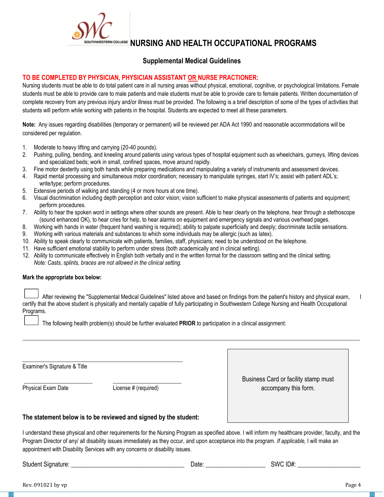# **NURSING AND HEALTH OCCUPATIONAL PROGRAMS**

## **Supplemental Medical Guidelines**

#### **TO BE COMPLETED BY PHYSICIAN, PHYSICIAN ASSISTANT OR NURSE PRACTIONER:**

Nursing students must be able to do total patient care in all nursing areas without physical, emotional, cognitive, or psychological limitations. Female students must be able to provide care to male patients and male students must be able to provide care to female patients. Written documentation of complete recovery from any previous injury and/or illness must be provided. The following is a brief description of some of the types of activities that students will perform while working with patients in the hospital. Students are expected to meet all these parameters.

**Note:** Any issues regarding disabilities (temporary or permanent) will be reviewed per ADA Act 1990 and reasonable accommodations will be considered per regulation.

- 1. Moderate to heavy lifting and carrying (20-40 pounds).
- 2. Pushing, pulling, bending, and kneeling around patients using various types of hospital equipment such as wheelchairs, gurneys, lifting devices and specialized beds; work in small, confined spaces, move around rapidly.
- 3. Fine motor dexterity using both hands while preparing medications and manipulating a variety of instruments and assessment devices.
- 4. Rapid mental processing and simultaneous motor coordination; necessary to manipulate syringes, start IV's; assist with patient ADL's; write/type; perform procedures.
- 5. Extensive periods of walking and standing (4 or more hours at one time).
- 6. Visual discrimination including depth perception and color vision; vision sufficient to make physical assessments of patients and equipment; perform procedures.
- 7. Ability to hear the spoken word in settings where other sounds are present. Able to hear clearly on the telephone, hear through a stethoscope (sound enhanced OK), to hear cries for help, to hear alarms on equipment and emergency signals and various overhead pages.
- 8. Working with hands in water (frequent hand washing is required); ability to palpate superficially and deeply; discriminate tactile sensations.
- 9. Working with various materials and substances to which some individuals may be allergic (such as latex).
- 10. Ability to speak clearly to communicate with patients, families, staff, physicians; need to be understood on the telephone.
- 11. Have sufficient emotional stability to perform under stress (both academically and in clinical setting).
- 12. Ability to communicate effectively in English both verbally and in the written format for the classroom setting and the clinical setting. *Note: Casts, splints, braces are not allowed in the clinical setting.*

#### **Mark the appropriate box below:**

After reviewing the "Supplemental Medical Guidelines" listed above and based on findings from the patient's history and physical exam, certify that the above student is physically and mentally capable of fully participating in Southwestern College Nursing and Health Occupational Programs.

\_\_\_\_\_\_\_\_\_\_\_\_\_\_\_\_\_\_\_\_\_\_\_\_\_\_\_\_\_\_\_\_\_\_\_\_\_\_\_\_\_\_\_\_\_\_\_\_\_\_\_\_\_\_\_\_\_\_\_\_\_\_\_\_\_\_\_\_\_\_\_\_\_\_\_\_\_\_\_\_\_\_\_\_\_\_\_\_\_\_\_\_\_\_\_\_\_\_\_\_\_\_\_\_\_\_\_\_\_\_\_\_\_\_\_\_\_\_

The following health problem(s) should be further evaluated **PRIOR** to participation in a clinical assignment:

Examiner's Signature & Title

Physical Exam Date License # (required)

Business Card or facility stamp must accompany this form.

#### **The statement below is to be reviewed and signed by the student:**

\_\_\_\_\_\_\_\_\_\_\_\_\_\_\_\_\_\_\_\_\_\_\_\_\_\_\_\_\_\_\_\_\_\_\_\_\_\_\_\_\_\_\_\_\_\_\_\_\_\_\_\_\_\_\_\_

\_\_\_\_\_\_\_\_\_\_\_\_\_\_\_\_\_\_\_\_\_\_\_\_ \_\_\_\_\_\_\_\_\_\_\_\_\_\_\_\_\_\_\_\_\_\_\_\_

I understand these physical and other requirements for the Nursing Program as specified above. I will inform my healthcare provider, faculty, and the Program Director of any/ all disability issues immediately as they occur, and upon acceptance into the program. *If applicable,* I will make an appointment with Disability Services with any concerns or disability issues.

Student Signature: \_\_\_\_\_\_\_\_\_\_\_\_\_\_\_\_\_\_\_\_\_\_\_\_\_\_\_\_\_\_\_\_\_\_\_\_ Date: \_\_\_\_\_\_\_\_\_\_\_\_\_\_\_\_\_\_\_ SWC ID#: \_\_\_\_\_\_\_\_\_\_\_\_\_\_\_\_\_\_\_\_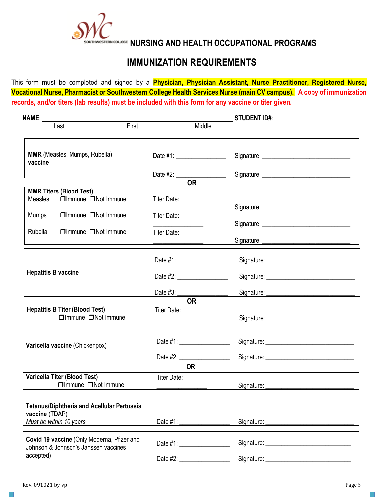

# **IMMUNIZATION REQUIREMENTS**

This form must be completed and signed by a **Physician, Physician Assistant, Nurse Practitioner, Registered Nurse, Vocational Nurse, Pharmacist or Southwestern College Health Services Nurse (main CV campus). A copy of immunization records, and/or titers (lab results) must be included with this form for any vaccine or titer given.**

| <b>NAME:</b>                                                                       |                               | _ STUDENT ID#: ______________________ |  |
|------------------------------------------------------------------------------------|-------------------------------|---------------------------------------|--|
| Last                                                                               | First                         | Middle                                |  |
| MMR (Measles, Mumps, Rubella)<br>vaccine                                           | Date #1: ____________________ |                                       |  |
|                                                                                    |                               |                                       |  |
|                                                                                    | <b>OR</b>                     |                                       |  |
| <b>MMR Titers (Blood Test)</b><br>Measles<br>$\Box$ Immune $\Box$ Not Immune       | Titer Date:                   |                                       |  |
| Mumps<br>□Immune □Not Immune                                                       | Titer Date:                   |                                       |  |
|                                                                                    |                               |                                       |  |
| Rubella<br>$\Box$ Immune $\Box$ Not Immune                                         | <b>Titer Date:</b>            |                                       |  |
|                                                                                    | Date #1:                      |                                       |  |
| <b>Hepatitis B vaccine</b>                                                         |                               |                                       |  |
|                                                                                    |                               |                                       |  |
|                                                                                    | <b>OR</b>                     |                                       |  |
| <b>Hepatitis B Titer (Blood Test)</b><br>□Immune □Not Immune                       | <b>Titer Date:</b>            |                                       |  |
| Varicella vaccine (Chickenpox)                                                     |                               |                                       |  |
|                                                                                    |                               |                                       |  |
|                                                                                    | <b>OR</b>                     |                                       |  |
| Varicella Titer (Blood Test)<br>□Immune □Not Immune                                | Titer Date:                   |                                       |  |
| <b>Tetanus/Diphtheria and Acellular Pertussis</b>                                  |                               |                                       |  |
| vaccine (TDAP)<br>Must be within 10 years                                          |                               |                                       |  |
| Covid 19 vaccine (Only Moderna, Pfizer and<br>Johnson & Johnson's Janssen vaccines | Date $#1$ : $\qquad \qquad$   |                                       |  |
| accepted)                                                                          | Date #2:                      | Signature:                            |  |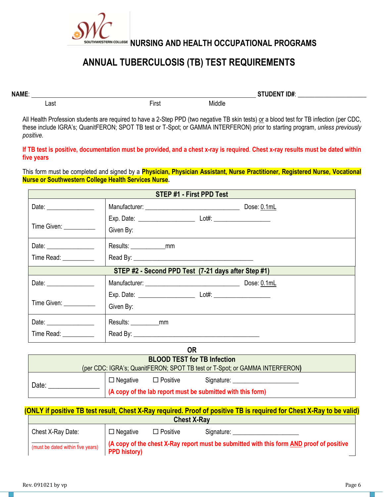

# **ANNUAL TUBERCULOSIS (TB) TEST REQUIREMENTS**

**NAME**: **STUDENT ID#**: \_\_\_\_\_\_\_\_\_\_\_\_\_\_\_\_\_\_\_\_

All Health Profession students are required to have a 2-Step PPD (two negative TB skin tests) or a blood test for TB infection (per CDC, these include IGRA's; QuanitFERON; SPOT TB test or T-Spot; or GAMMA INTERFERON) prior to starting program, *unless previously positive.*

Last **Example 2018** Class First **First** Middle

#### **If TB test is positive, documentation must be provided, and a chest x-ray is required**. **Chest x-ray results must be dated within five years**

This form must be completed and signed by a **Physician, Physician Assistant, Nurse Practitioner, Registered Nurse, Vocational Nurse or Southwestern College Health Services Nurse.**

| <b>STEP #1 - First PPD Test</b> |                                                     |             |  |  |  |  |
|---------------------------------|-----------------------------------------------------|-------------|--|--|--|--|
|                                 |                                                     | Dose: 0.1mL |  |  |  |  |
| Time Given: __________          | Given By:                                           |             |  |  |  |  |
| Date: ________________          | Results: ______________mm                           |             |  |  |  |  |
| Time Read: __________           |                                                     |             |  |  |  |  |
|                                 | STEP #2 - Second PPD Test (7-21 days after Step #1) |             |  |  |  |  |
|                                 | Manufacturer: Dose: 0.1mL                           |             |  |  |  |  |
| Time Given: __________          | Given By:                                           |             |  |  |  |  |
|                                 | Results: ____________mm                             |             |  |  |  |  |
| Time Read: __________           |                                                     |             |  |  |  |  |

| ΟR                                 |                                                                             |                 |                                                             |  |  |  |
|------------------------------------|-----------------------------------------------------------------------------|-----------------|-------------------------------------------------------------|--|--|--|
| <b>BLOOD TEST for TB Infection</b> |                                                                             |                 |                                                             |  |  |  |
|                                    | (per CDC: IGRA's; QuanitFERON; SPOT TB test or T-Spot; or GAMMA INTERFERON) |                 |                                                             |  |  |  |
| Date:                              | $\Box$ Negative                                                             | $\Box$ Positive | Signature:                                                  |  |  |  |
|                                    |                                                                             |                 | (A copy of the lab report must be submitted with this form) |  |  |  |

#### **(ONLY if positive TB test result, Chest X-Ray required. Proof of positive TB is required for Chest X-Ray to be valid) Chest X-Ray**

| <b>VIICOL A-INGV</b>              |                     |                 |                                                                                         |  |  |
|-----------------------------------|---------------------|-----------------|-----------------------------------------------------------------------------------------|--|--|
| Chest X-Ray Date:                 | $\Box$ Negative     | $\Box$ Positive | Signature:                                                                              |  |  |
| (must be dated within five years) | <b>PPD history)</b> |                 | A copy of the chest X-Ray report must be submitted with this form AND proof of positive |  |  |